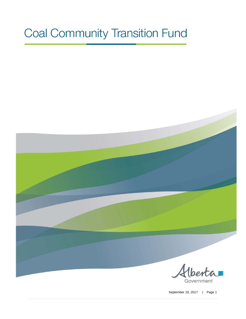# **Coal Community Transition Fund**



Government

September 19, 2017 | Page 1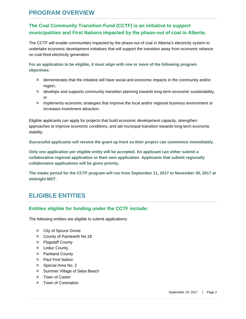## **PROGRAM OVERVIEW**

## **The Coal Community Transition Fund (CCTF) is an initiative to support municipalities and First Nations impacted by the phase-out of coal in Alberta.**

The CCTF will enable communities impacted by the phase-out of coal in Alberta's electricity system to undertake economic development initiatives that will support the transition away from economic reliance on coal-fired electricity generation.

**For an application to be eligible, it must align with one or more of the following program objectives:** 

- $\blacksquare$  demonstrates that the initiative will have social and economic impacts in the community and/or region;
- $\blacksquare$  develops and supports community transition planning towards long-term economic sustainability; or
- $\blacksquare$  implements economic strategies that improve the local and/or regional business environment or increases investment attraction.

Eligible applicants can apply for projects that build economic development capacity, strengthen approaches to improve economic conditions, and aid municipal transition towards long-term economic stability.

**Successful applicants will receive the grant up front so their project can commence immediately.**

**Only one application per eligible entity will be accepted. An applicant can either submit a collaborative regional application or their own application. Applicants that submit regionally collaborative applications will be given priority.** 

**The intake period for the CCTF program will run from September 11, 2017 to November 30, 2017 at midnight MST.** 

# **ELIGIBLE ENTITIES**

#### **Entities eligible for funding under the CCTF include:**

The following entities are eligible to submit applications:

- City of Spruce Grove
- County of Paintearth No.18
- **Flagstaff County**
- **Leduc County**
- Parkland County
- **Paul First Nation**
- Special Area No. 2
- Summer Village of Seba Beach
- Town of Castor
- Town of Coronation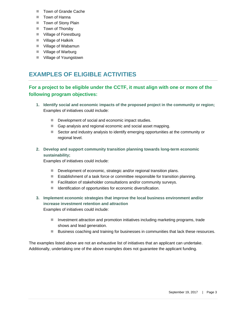- Town of Grande Cache
- **T** Town of Hanna
- Town of Stony Plain
- Town of Thorsby
- Village of Forestburg
- **Village of Halkirk**
- Village of Wabamun
- Village of Warburg
- Village of Youngstown

# **EXAMPLES OF ELIGIBLE ACTIVITIES**

## **For a project to be eligible under the CCTF, it must align with one or more of the following program objectives:**

- **1. Identify social and economic impacts of the proposed project in the community or region;**  Examples of initiatives could include:
	- Development of social and economic impact studies.
	- Gap analysis and regional economic and social asset mapping.
	- Sector and industry analysis to identify emerging opportunities at the community or regional level.
- **2. Develop and support community transition planning towards long-term economic sustainability;**

Examples of initiatives could include:

- Development of economic, strategic and/or regional transition plans.
- **Establishment of a task force or committee responsible for transition planning.**
- Facilitation of stakeholder consultations and/or community surveys.
- Identification of opportunities for economic diversification.

#### **3. Implement economic strategies that improve the local business environment and/or increase investment retention and attraction**

Examples of initiatives could include:

- Investment attraction and promotion initiatives including marketing programs, trade shows and lead generation.
- Business coaching and training for businesses in communities that lack these resources.

The examples listed above are not an exhaustive list of initiatives that an applicant can undertake. Additionally, undertaking one of the above examples does not guarantee the applicant funding.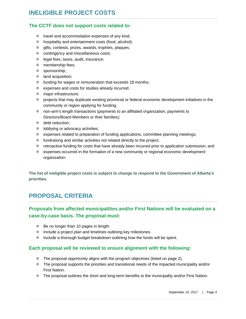#### **The CCTF does not support costs related to:**

- $\blacksquare$  travel and accommodation expenses of any kind;
- hospitality and entertainment costs (food, alcohol);
- gifts, contests, prizes, awards, trophies, plaques;
- contingency and miscellaneous costs;
- ellegal fees, taxes, audit, insurance;
- **membership fees;**
- sponsorship;
- **land acquisition;**
- $\blacksquare$  funding for wages or remuneration that exceeds 18 months;
- expenses and costs for studies already incurred;
- major infrastructure;
- **PED projects that may duplicate existing provincial or federal economic development initiatives in the** community or region applying for funding;
- non-arm's length transactions (payments to an affiliated organization, payments to Directors/Board Members or their families);
- debt reduction;
- **I** lobbying or advocacy activities;
- **E** expenses related to preparation of funding applications, committee planning meetings;
- $\blacksquare$  fundraising and similar activities not related directly to the project;
- retroactive funding for costs that have already been incurred prior to application submission; and
- expenses occurred in the formation of a new community or regional economic development organization.

**The list of ineligible project costs is subject to change to respond to the Government of Alberta's priorities.** 

# **PROPOSAL CRITERIA**

## **Proposals from affected municipalities and/or First Nations will be evaluated on a case-by-case basis. The proposal must:**

- Be no longer than 10 pages in length.
- Include a project plan and timelines outlining key milestones.
- $\blacksquare$  Include a thorough budget breakdown outlining how the funds will be spent.

#### **Each proposal will be reviewed to ensure alignment with the following:**

- The proposal opportunity aligns with the program objectives (listed on page 2).
- The proposal supports the priorities and transitional needs of the impacted municipality and/or First Nation.
- The proposal outlines the short and long-term benefits to the municipality and/or First Nation.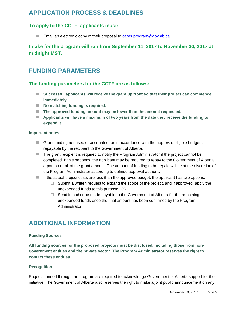#### **To apply to the CCTF, applicants must:**

Email an electronic copy of their proposal to cares.program@gov.ab.ca.

## **Intake for the program will run from September 11, 2017 to November 30, 2017 at midnight MST.**

## **FUNDING PARAMETERS**

#### **The funding parameters for the CCTF are as follows:**

- **Successful applicants will receive the grant up front so that their project can commence immediately.**
- No matching funding is required.
- The approved funding amount may be lower than the amount requested.
- Applicants will have a maximum of two years from the date they receive the funding to **expend it.**

#### **Important notes:**

- Grant funding not used or accounted for in accordance with the approved eligible budget is repayable by the recipient to the Government of Alberta.
- The grant recipient is required to notify the Program Administrator if the project cannot be completed. If this happens, the applicant may be required to repay to the Government of Alberta a portion or all of the grant amount. The amount of funding to be repaid will be at the discretion of the Program Administrator according to defined approval authority.
- $\blacksquare$  If the actual project costs are less than the approved budget, the applicant has two options:
	- $\Box$  Submit a written request to expand the scope of the project, and if approved, apply the unexpended funds to this purpose; OR
	- $\Box$  Send in a cheque made payable to the Government of Alberta for the remaining unexpended funds once the final amount has been confirmed by the Program Administrator.

# **ADDITIONAL INFORMATION**

#### **Funding Sources**

**All funding sources for the proposed projects must be disclosed, including those from nongovernment entities and the private sector. The Program Administrator reserves the right to contact these entities.** 

#### **Recognition**

Projects funded through the program are required to acknowledge Government of Alberta support for the initiative. The Government of Alberta also reserves the right to make a joint public announcement on any